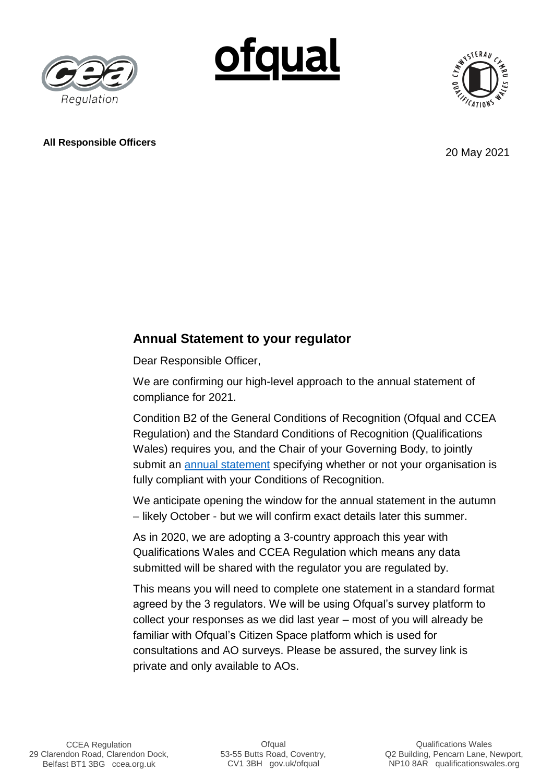





## **All Responsible Officers**

20 May 2021

## **Annual Statement to your regulator**

Dear Responsible Officer,

We are confirming our high-level approach to the annual statement of compliance for 2021.

Condition B2 of the General Conditions of Recognition (Ofqual and CCEA Regulation) and the Standard Conditions of Recognition (Qualifications Wales) requires you, and the Chair of your Governing Body, to jointly submit an [annual statement](https://www.gov.uk/guidance/ofqual-handbook/section-b-the-awarding-organisation-and-ofqual) specifying whether or not your organisation is fully compliant with your Conditions of Recognition.

We anticipate opening the window for the annual statement in the autumn – likely October - but we will confirm exact details later this summer.

As in 2020, we are adopting a 3-country approach this year with Qualifications Wales and CCEA Regulation which means any data submitted will be shared with the regulator you are regulated by.

This means you will need to complete one statement in a standard format agreed by the 3 regulators. We will be using Ofqual's survey platform to collect your responses as we did last year – most of you will already be familiar with Ofqual's Citizen Space platform which is used for consultations and AO surveys. Please be assured, the survey link is private and only available to AOs.